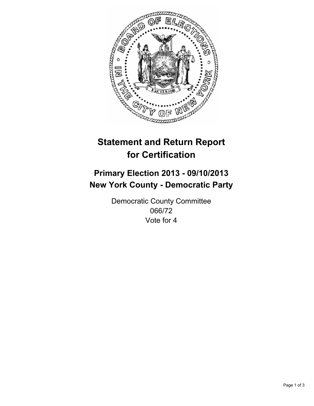

# **Statement and Return Report for Certification**

## **Primary Election 2013 - 09/10/2013 New York County - Democratic Party**

Democratic County Committee 066/72 Vote for 4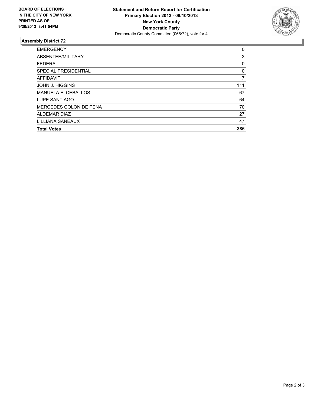

### **Assembly District 72**

| <b>EMERGENCY</b>           | 0   |
|----------------------------|-----|
| ABSENTEE/MILITARY          | 3   |
| <b>FEDERAL</b>             | 0   |
| SPECIAL PRESIDENTIAL       | 0   |
| <b>AFFIDAVIT</b>           | 7   |
| <b>JOHN J. HIGGINS</b>     | 111 |
| <b>MANUELA E. CEBALLOS</b> | 67  |
| LUPE SANTIAGO              | 64  |
| MERCEDES COLON DE PENA     | 70  |
| <b>ALDEMAR DIAZ</b>        | 27  |
| LILLIANA SANEAUX           | 47  |
| <b>Total Votes</b>         | 386 |